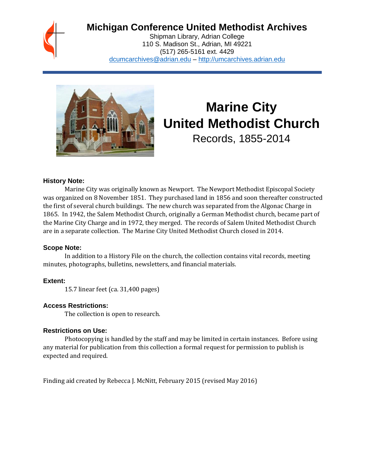

# **Michigan Conference United Methodist Archives**

Shipman Library, Adrian College 110 S. Madison St., Adrian, MI 49221 (517) 265-5161 ext. 4429 [dcumcarchives@adrian.edu](mailto:dcumcarchives@adrian.edu) – [http://umcarchives.adrian.edu](http://umcarchives.adrian.edu/)



# **Marine City United Methodist Church**

Records, 1855-2014

#### **History Note:**

Marine City was originally known as Newport. The Newport Methodist Episcopal Society was organized on 8 November 1851. They purchased land in 1856 and soon thereafter constructed the first of several church buildings. The new church was separated from the Algonac Charge in 1865. In 1942, the Salem Methodist Church, originally a German Methodist church, became part of the Marine City Charge and in 1972, they merged. The records of Salem United Methodist Church are in a separate collection. The Marine City United Methodist Church closed in 2014.

#### **Scope Note:**

In addition to a History File on the church, the collection contains vital records, meeting minutes, photographs, bulletins, newsletters, and financial materials.

#### **Extent:**

15.7 linear feet (ca. 31,400 pages)

#### **Access Restrictions:**

The collection is open to research.

#### **Restrictions on Use:**

Photocopying is handled by the staff and may be limited in certain instances. Before using any material for publication from this collection a formal request for permission to publish is expected and required.

Finding aid created by Rebecca J. McNitt, February 2015 (revised May 2016)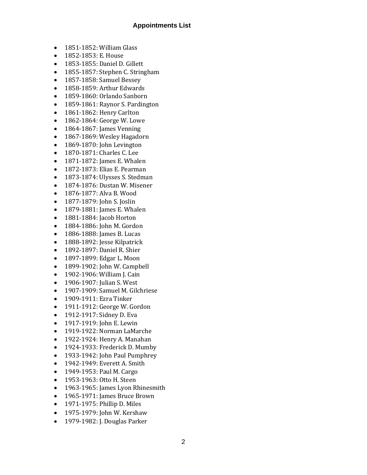#### **Appointments List**

- 1851-1852: William Glass
- 1852-1853: E. House
- 1853-1855: Daniel D. Gillett
- 1855-1857: Stephen C. Stringham
- 1857-1858: Samuel Bessey
- 1858-1859: Arthur Edwards
- 1859-1860: Orlando Sanborn
- 1859-1861: Raynor S. Pardington
- 1861-1862: Henry Carlton
- 1862-1864: George W. Lowe
- 1864-1867: James Venning
- 1867-1869: Wesley Hagadorn
- 1869-1870: John Levington
- 1870-1871: Charles C. Lee
- 1871-1872: James E. Whalen
- 1872-1873: Elias E. Pearman
- 1873-1874: Ulysses S. Stedman
- 1874-1876: Dustan W. Misener
- 1876-1877: Alva B. Wood
- 1877-1879: John S. Joslin
- 1879-1881: James E. Whalen
- 1881-1884: Jacob Horton
- 1884-1886: John M. Gordon
- 1886-1888: James B. Lucas
- 1888-1892: Jesse Kilpatrick
- 1892-1897: Daniel R. Shier
- 1897-1899: Edgar L. Moon
- 1899-1902: John W. Campbell
- 1902-1906: William J. Cain
- 1906-1907: Julian S. West
- 1907-1909: Samuel M. Gilchriese
- 1909-1911: Ezra Tinker
- 1911-1912: George W. Gordon
- 1912-1917: Sidney D. Eva
- 1917-1919: John E. Lewin
- 1919-1922: Norman LaMarche
- 1922-1924: Henry A. Manahan
- 1924-1933: Frederick D. Mumby
- 1933-1942: John Paul Pumphrey
- 1942-1949: Everett A. Smith
- 1949-1953: Paul M. Cargo
- 1953-1963: Otto H. Steen
- 1963-1965: James Lyon Rhinesmith
- 1965-1971: James Bruce Brown
- 1971-1975: Phillip D. Miles
- 1975-1979: John W. Kershaw
- 1979-1982: J. Douglas Parker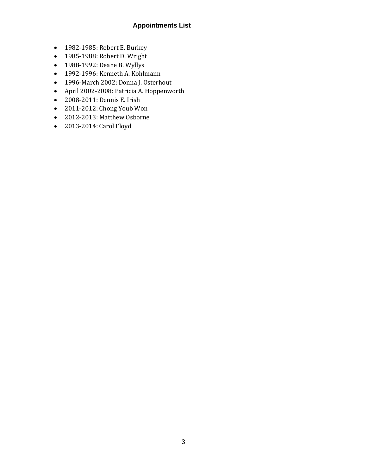# **Appointments List**

- 1982-1985: Robert E. Burkey
- 1985-1988: Robert D. Wright
- 1988-1992: Deane B. Wyllys
- 1992-1996: Kenneth A. Kohlmann
- 1996-March 2002: Donna J. Osterhout
- April 2002-2008: Patricia A. Hoppenworth
- 2008-2011: Dennis E. Irish
- 2011-2012: Chong Youb Won
- 2012-2013: Matthew Osborne
- 2013-2014: Carol Floyd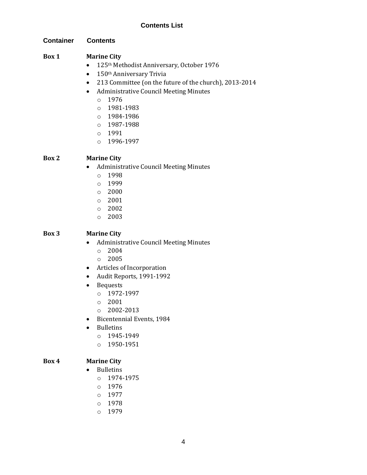#### **Container Contents**

#### **Box 1 Marine City**

- 125<sup>th</sup> Methodist Anniversary, October 1976
- 150<sup>th</sup> Anniversary Trivia
- 213 Committee (on the future of the church), 2013-2014
- Administrative Council Meeting Minutes
	- o 1976
	- o 1981-1983
	- o 1984-1986
	- o 1987-1988
	- o 1991
	- o 1996-1997

#### **Box 2 Marine City**

- Administrative Council Meeting Minutes
	- o 1998
	- o 1999
	- o 2000
	- o 2001
	- o 2002
	- o 2003

#### **Box 3 Marine City**

- Administrative Council Meeting Minutes
	- o 2004
	- o 2005
- Articles of Incorporation
- Audit Reports, 1991-1992
- Bequests
	- o 1972-1997
	- o 2001
	- o 2002-2013
- Bicentennial Events, 1984
- Bulletins
	- o 1945-1949
	- o 1950-1951

#### **Box 4 Marine City**

- Bulletins
	- o 1974-1975
	- o 1976
	- o 1977
	- o 1978
	- o 1979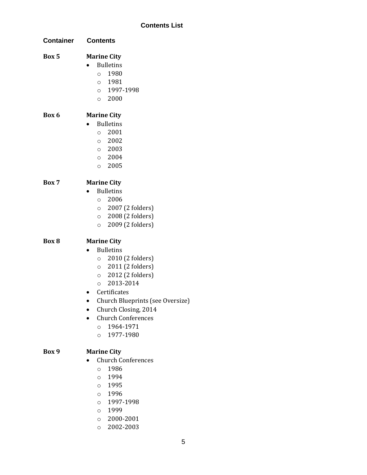| <b>Container</b> | <b>Contents</b>                                                                                                                                                                                                                                                                                                |  |
|------------------|----------------------------------------------------------------------------------------------------------------------------------------------------------------------------------------------------------------------------------------------------------------------------------------------------------------|--|
| Box 5            | <b>Marine City</b><br><b>Bulletins</b><br>1980<br>$\circ$<br>0 1981<br>0 1997-1998<br>$\circ$ 2000                                                                                                                                                                                                             |  |
| Box 6            | <b>Marine City</b><br><b>Bulletins</b><br>2001<br>$\circ$<br>$\circ$ 2002<br>$\circ$ 2003<br>$\circ$ 2004<br>$\circ$ 2005                                                                                                                                                                                      |  |
| Box 7            | <b>Marine City</b><br><b>Bulletins</b><br>2006<br>$\circ$<br>$\circ$ 2007 (2 folders)<br>2008 (2 folders)<br>$\circ$<br>2009 (2 folders)<br>$\circ$                                                                                                                                                            |  |
| Box 8            | <b>Marine City</b><br><b>Bulletins</b><br>2010 (2 folders)<br>$\circ$<br>$\circ$ 2011 (2 folders)<br>$\circ$ 2012 (2 folders)<br>2013-2014<br>$\circ$<br>Certificates<br>Church Blueprints (see Oversize)<br>Church Closing, 2014<br><b>Church Conferences</b><br>1964-1971<br>$\circ$<br>1977-1980<br>$\circ$ |  |
| Box 9            | <b>Marine City</b><br><b>Church Conferences</b><br>1986<br>$\circ$<br>1994<br>$\circ$<br>1995<br>$\circ$<br>1996<br>$\circ$<br>1997-1998<br>$\circ$<br>1999<br>$\circ$                                                                                                                                         |  |

o 2002-2003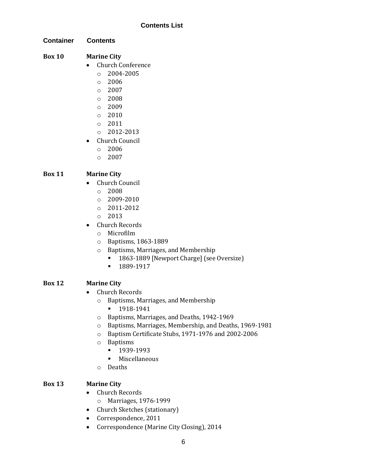**Container Contents**

- **Box 10 Marine City**
	- Church Conference
		- $O$  2004-2005
		- o 2006
		- $\circ$  2007
		- o 2008
		- o 2009
		- o 2010
		- o 2011
		- o 2012-2013
	- Church Council
		- o 2006
		- o 2007

#### **Box 11 Marine City**

- Church Council
	- o 2008
	- $O = 2009 2010$
	- o 2011-2012
	- o 2013
- Church Records
	- o Microfilm
	- o Baptisms, 1863-1889
	- o Baptisms, Marriages, and Membership
		- 1863-1889 [Newport Charge] (see Oversize)
		- 1889-1917

#### **Box 12 Marine City**

- Church Records
	- o Baptisms, Marriages, and Membership
		- 1918-1941
	- o Baptisms, Marriages, and Deaths, 1942-1969
	- o Baptisms, Marriages, Membership, and Deaths, 1969-1981
	- o Baptism Certificate Stubs, 1971-1976 and 2002-2006
	- o Baptisms
		- 1939-1993
		- Miscellaneous
	- o Deaths

#### **Box 13 Marine City**

- Church Records
	- o Marriages, 1976-1999
- Church Sketches (stationary)
- Correspondence, 2011
- Correspondence (Marine City Closing), 2014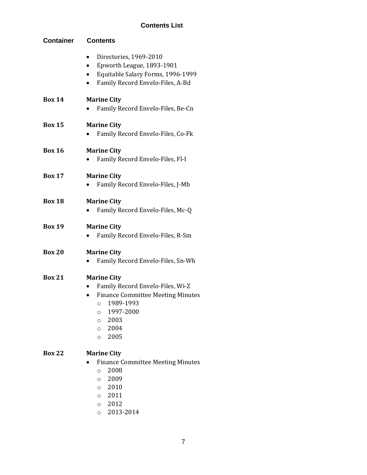| <b>Container</b> | <b>Contents</b>                                                                                                                                                                                             |  |
|------------------|-------------------------------------------------------------------------------------------------------------------------------------------------------------------------------------------------------------|--|
|                  | Directories, 1969-2010<br>٠<br>Epworth League, 1893-1901<br>٠<br>Equitable Salary Forms, 1996-1999<br>Family Record Envelo-Files, A-Bd                                                                      |  |
| <b>Box 14</b>    | <b>Marine City</b><br>Family Record Envelo-Files, Be-Cn                                                                                                                                                     |  |
| <b>Box 15</b>    | <b>Marine City</b><br>Family Record Envelo-Files, Co-Fk                                                                                                                                                     |  |
| <b>Box 16</b>    | <b>Marine City</b><br>Family Record Envelo-Files, Fl-I                                                                                                                                                      |  |
| <b>Box 17</b>    | <b>Marine City</b><br>Family Record Envelo-Files, J-Mb                                                                                                                                                      |  |
| <b>Box 18</b>    | <b>Marine City</b><br>Family Record Envelo-Files, Mc-Q                                                                                                                                                      |  |
| <b>Box 19</b>    | <b>Marine City</b><br>Family Record Envelo-Files, R-Sm                                                                                                                                                      |  |
| <b>Box 20</b>    | <b>Marine City</b><br>Family Record Envelo-Files, Sn-Wh                                                                                                                                                     |  |
| <b>Box 21</b>    | <b>Marine City</b><br>Family Record Envelo-Files, Wi-Z<br><b>Finance Committee Meeting Minutes</b><br>1989-1993<br>$\circ$<br>1997-2000<br>$\circ$<br>2003<br>$\circ$<br>2004<br>$\circ$<br>2005<br>$\circ$ |  |
| <b>Box 22</b>    | <b>Marine City</b><br><b>Finance Committee Meeting Minutes</b><br>2008<br>$\circ$<br>2009<br>$\circ$<br>2010<br>$\circ$<br>2011<br>$\circ$<br>2012<br>$\circ$<br>2013-2014<br>$\circ$                       |  |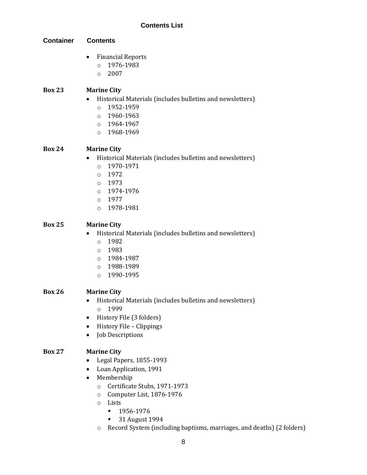**Container Contents**

- Financial Reports
	- o 1976-1983
	- $O 2007$

#### **Box 23 Marine City**

- Historical Materials (includes bulletins and newsletters)
	- o 1952-1959
	- o 1960-1963
	- o 1964-1967
	- o 1968-1969

#### **Box 24 Marine City**

- Historical Materials (includes bulletins and newsletters)
	- o 1970-1971
	- o 1972
	- o 1973
	- o 1974-1976
	- o 1977
	- o 1978-1981

#### **Box 25 Marine City**

- Historical Materials (includes bulletins and newsletters)
	- o 1982
	- o 1983
	- o 1984-1987
	- o 1988-1989
	- o 1990-1995

#### **Box 26 Marine City**

- Historical Materials (includes bulletins and newsletters) o 1999
- History File (3 folders)
- History File Clippings
- Job Descriptions

#### **Box 27 Marine City**

- Legal Papers, 1855-1993
- Loan Application, 1991
- Membership
	- o Certificate Stubs, 1971-1973
	- o Computer List, 1876-1976
	- o Lists
		- 1956-1976
			- 31 August 1994
	- o Record System (including baptisms, marriages, and deaths) (2 folders)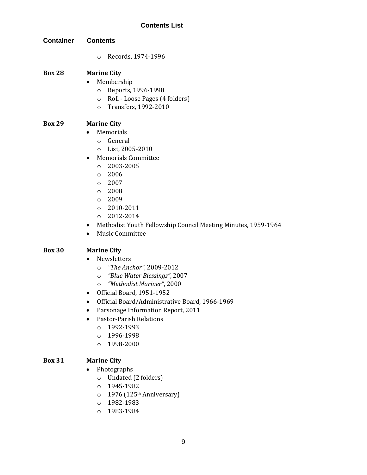**Container Contents**

o Records, 1974-1996

#### **Box 28 Marine City**

- Membership
	- o Reports, 1996-1998
	- o Roll Loose Pages (4 folders)
	- o Transfers, 1992-2010

#### **Box 29 Marine City**

- Memorials
	- o General
	- o List, 2005-2010
- Memorials Committee
	- $\circ$  2003-2005
	- o 2006
	- o 2007
	- o 2008
	- $O<sup>2009</sup>$
	- o 2010-2011
	- o 2012-2014
- Methodist Youth Fellowship Council Meeting Minutes, 1959-1964
- Music Committee

#### **Box 30 Marine City**

- Newsletters
	- o *"The Anchor"*, 2009-2012
	- o *"Blue Water Blessings"*, 2007
	- o *"Methodist Mariner"*, 2000
- Official Board, 1951-1952
- Official Board/Administrative Board, 1966-1969
- Parsonage Information Report, 2011
- Pastor-Parish Relations
	- o 1992-1993
	- o 1996-1998
	- o 1998-2000

#### **Box 31 Marine City**

- Photographs
	- o Undated (2 folders)
	- o 1945-1982
	- $\circ$  1976 (125<sup>th</sup> Anniversary)
	- o 1982-1983
	- o 1983-1984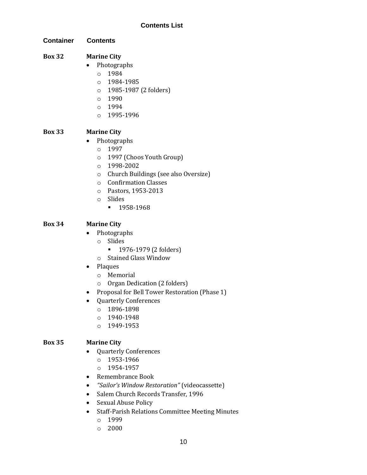**Container Contents**

# **Box 32 Marine City**

- Photographs
	- o 1984
	- o 1984-1985
	- o 1985-1987 (2 folders)
	- o 1990
	- o 1994
	- o 1995-1996

# **Box 33 Marine City**

- Photographs
	- o 1997
	- o 1997 (Choos Youth Group)
	- o 1998-2002
	- o Church Buildings (see also Oversize)
	- o Confirmation Classes
	- o Pastors, 1953-2013
	- o Slides
		- **•** 1958-1968

# **Box 34 Marine City**

- Photographs
	- o Slides
		- 1976-1979 (2 folders)
	- o Stained Glass Window
- Plaques
	- o Memorial
	- o Organ Dedication (2 folders)
- Proposal for Bell Tower Restoration (Phase 1)
- Quarterly Conferences
	- o 1896-1898
	- o 1940-1948
	- o 1949-1953

#### **Box 35 Marine City**

- Quarterly Conferences
	- o 1953-1966
	- o 1954-1957
- Remembrance Book
- *"Sailor's Window Restoration"* (videocassette)
- Salem Church Records Transfer, 1996
- Sexual Abuse Policy
- Staff-Parish Relations Committee Meeting Minutes
	- o 1999
	- o 2000